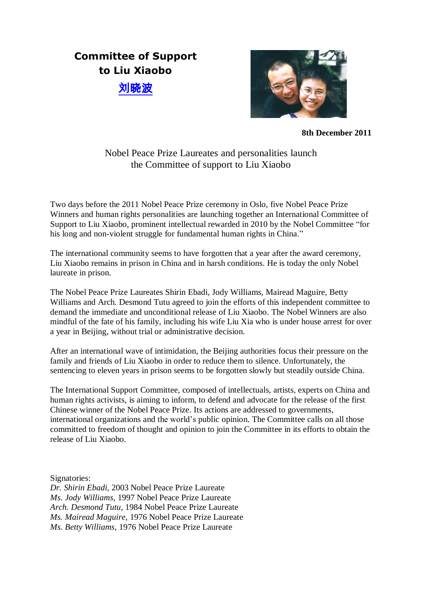## **Committee of Support to Liu Xiaobo** [刘晓](http://fr.wiktionary.org/wiki/%E5%88%98)[波](http://fr.wiktionary.org/wiki/%E6%B3%A2)



**8th December 2011**

## Nobel Peace Prize Laureates and personalities launch the Committee of support to Liu Xiaobo

Two days before the 2011 Nobel Peace Prize ceremony in Oslo, five Nobel Peace Prize Winners and human rights personalities are launching together an International Committee of Support to Liu Xiaobo, prominent intellectual rewarded in 2010 by the Nobel Committee "for his long and non-violent struggle for fundamental human rights in China."

The international community seems to have forgotten that a year after the award ceremony, Liu Xiaobo remains in prison in China and in harsh conditions. He is today the only Nobel laureate in prison.

The Nobel Peace Prize Laureates Shirin Ebadi, Jody Williams, Mairead Maguire, Betty Williams and Arch. Desmond Tutu agreed to join the efforts of this independent committee to demand the immediate and unconditional release of Liu Xiaobo. The Nobel Winners are also mindful of the fate of his family, including his wife Liu Xia who is under house arrest for over a year in Beijing, without trial or administrative decision.

After an international wave of intimidation, the Beijing authorities focus their pressure on the family and friends of Liu Xiaobo in order to reduce them to silence. Unfortunately, the sentencing to eleven years in prison seems to be forgotten slowly but steadily outside China.

The International Support Committee, composed of intellectuals, artists, experts on China and human rights activists, is aiming to inform, to defend and advocate for the release of the first Chinese winner of the Nobel Peace Prize. Its actions are addressed to governments, international organizations and the world's public opinion. The Committee calls on all those committed to freedom of thought and opinion to join the Committee in its efforts to obtain the release of Liu Xiaobo.

Signatories:

*Dr. Shirin Ebadi,* 2003 Nobel Peace Prize Laureate *Ms. Jody Williams*, 1997 Nobel Peace Prize Laureate *Arch. Desmond Tutu*, 1984 Nobel Peace Prize Laureate *Ms. Mairead Maguire*, 1976 Nobel Peace Prize Laureate *Ms. Betty Williams*, 1976 Nobel Peace Prize Laureate